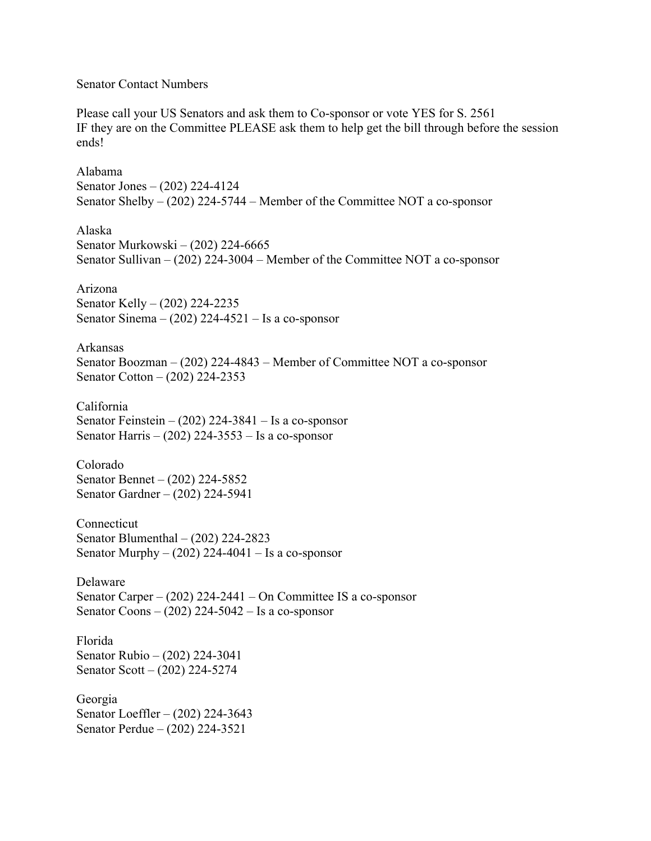## Senator Contact Numbers

Please call your US Senators and ask them to Co-sponsor or vote YES for S. 2561 IF they are on the Committee PLEASE ask them to help get the bill through before the session ends!

Alabama Senator Jones – (202) 224-4124 Senator Shelby – (202) 224-5744 – Member of the Committee NOT a co-sponsor Alaska Senator Murkowski – (202) 224-6665 Senator Sullivan – (202) 224-3004 – Member of the Committee NOT a co-sponsor Arizona Senator Kelly – (202) 224-2235 Senator Sinema  $- (202)$  224-4521 – Is a co-sponsor Arkansas Senator Boozman – (202) 224-4843 – Member of Committee NOT a co-sponsor Senator Cotton – (202) 224-2353 California Senator Feinstein –  $(202)$  224-3841 – Is a co-sponsor Senator Harris –  $(202)$  224-3553 – Is a co-sponsor Colorado Senator Bennet – (202) 224-5852 Senator Gardner – (202) 224-5941 **Connecticut** Senator Blumenthal – (202) 224-2823 Senator Murphy  $- (202) 224-4041$  – Is a co-sponsor Delaware Senator Carper – (202) 224-2441 – On Committee IS a co-sponsor Senator Coons  $- (202)$  224-5042 – Is a co-sponsor Florida Senator Rubio – (202) 224-3041 Senator Scott – (202) 224-5274 Georgia Senator Loeffler – (202) 224-3643 Senator Perdue – (202) 224-3521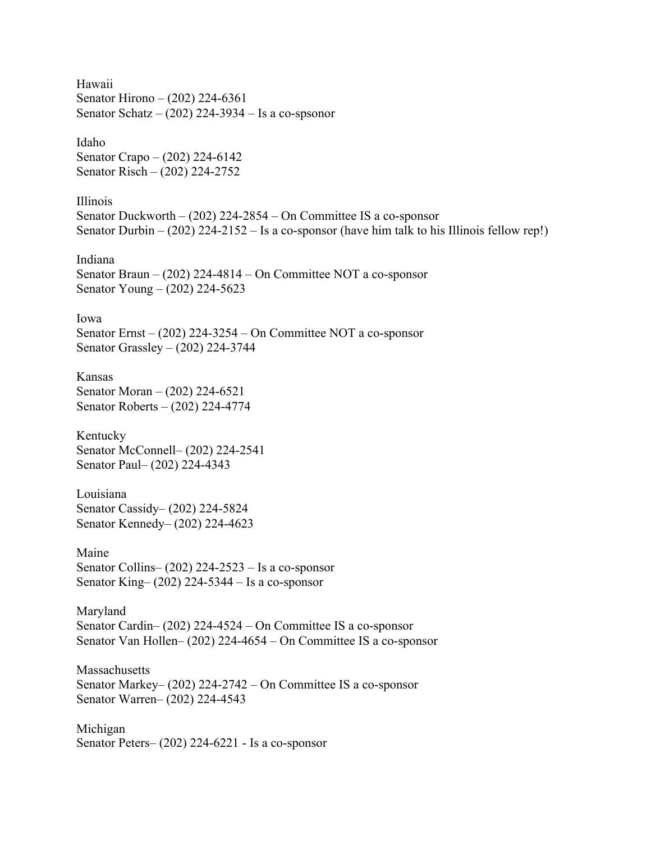Hawaii Senator Hirono – (202) 224-6361 Senator Schatz –  $(202)$  224-3934 – Is a co-spsonor

Idaho Senator Crapo – (202) 224-6142 Senator Risch – (202) 224-2752

Illinois Senator Duckworth – (202) 224-2854 – On Committee IS a co-sponsor Senator Durbin – (202) 224-2152 – Is a co-sponsor (have him talk to his Illinois fellow rep!)

Indiana Senator Braun – (202) 224-4814 – On Committee NOT a co-sponsor Senator Young – (202) 224-5623

Iowa Senator Ernst – (202) 224-3254 – On Committee NOT a co-sponsor Senator Grassley – (202) 224-3744

Kansas Senator Moran – (202) 224-6521 Senator Roberts – (202) 224-4774

Kentucky Senator McConnell– (202) 224-2541 Senator Paul– (202) 224-4343

Louisiana Senator Cassidy– (202) 224-5824 Senator Kennedy– (202) 224-4623

Maine Senator Collins– (202) 224-2523 – Is a co-sponsor Senator King– (202) 224-5344 – Is a co-sponsor

Maryland Senator Cardin– (202) 224-4524 – On Committee IS a co-sponsor Senator Van Hollen– (202) 224-4654 – On Committee IS a co-sponsor

**Massachusetts** Senator Markey– (202) 224-2742 – On Committee IS a co-sponsor Senator Warren– (202) 224-4543

Michigan Senator Peters– (202) 224-6221 - Is a co-sponsor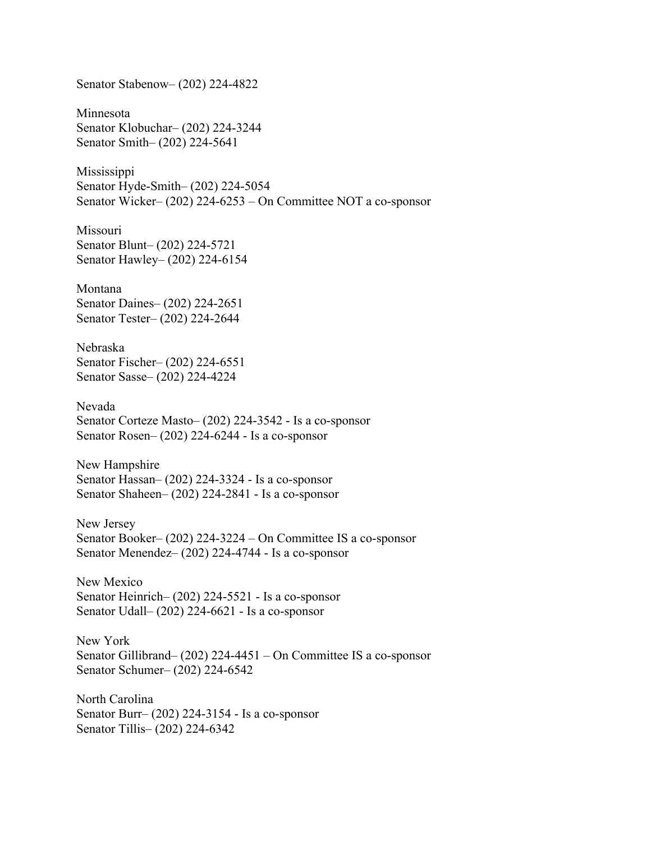Senator Stabenow– (202) 224-4822

Minnesota Senator Klobuchar– (202) 224-3244 Senator Smith– (202) 224-5641

Mississippi Senator Hyde-Smith– (202) 224-5054 Senator Wicker– (202) 224-6253 – On Committee NOT a co-sponsor

Missouri Senator Blunt– (202) 224-5721 Senator Hawley– (202) 224-6154

Montana Senator Daines– (202) 224-2651 Senator Tester– (202) 224-2644

Nebraska Senator Fischer– (202) 224-6551 Senator Sasse– (202) 224-4224

Nevada Senator Corteze Masto– (202) 224-3542 - Is a co-sponsor Senator Rosen– (202) 224-6244 - Is a co-sponsor

New Hampshire Senator Hassan– (202) 224-3324 - Is a co-sponsor Senator Shaheen– (202) 224-2841 - Is a co-sponsor

New Jersey Senator Booker– (202) 224-3224 – On Committee IS a co-sponsor Senator Menendez– (202) 224-4744 - Is a co-sponsor

New Mexico Senator Heinrich– (202) 224-5521 - Is a co-sponsor Senator Udall– (202) 224-6621 - Is a co-sponsor

New York Senator Gillibrand– (202) 224-4451 – On Committee IS a co-sponsor Senator Schumer– (202) 224-6542

North Carolina Senator Burr– (202) 224-3154 - Is a co-sponsor Senator Tillis– (202) 224-6342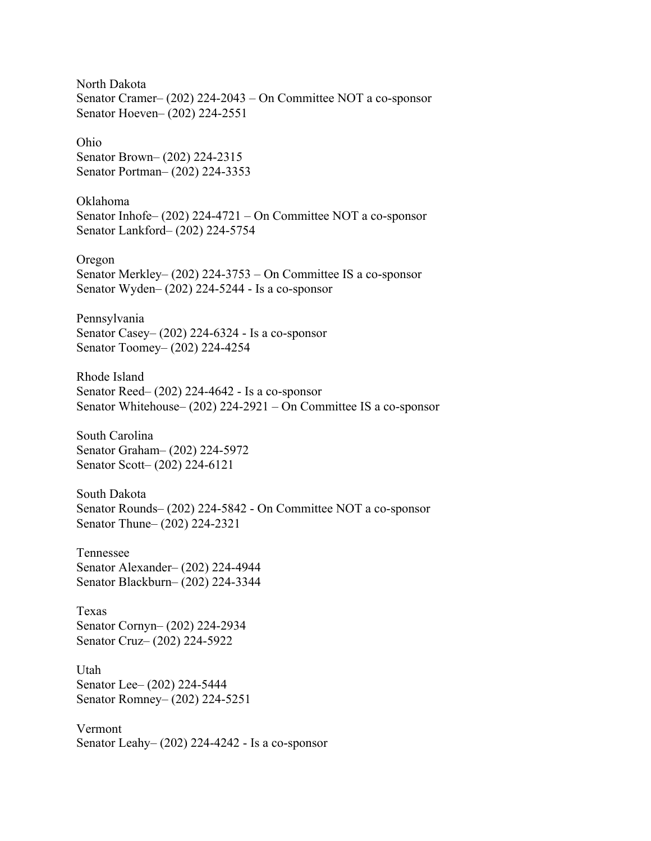North Dakota Senator Cramer– (202) 224-2043 – On Committee NOT a co-sponsor Senator Hoeven– (202) 224-2551

Ohio Senator Brown– (202) 224-2315 Senator Portman– (202) 224-3353

Oklahoma Senator Inhofe– (202) 224-4721 – On Committee NOT a co-sponsor Senator Lankford– (202) 224-5754

Oregon Senator Merkley– (202) 224-3753 – On Committee IS a co-sponsor Senator Wyden– (202) 224-5244 - Is a co-sponsor

Pennsylvania Senator Casey– (202) 224-6324 - Is a co-sponsor Senator Toomey– (202) 224-4254

Rhode Island Senator Reed– (202) 224-4642 - Is a co-sponsor Senator Whitehouse– (202) 224-2921 – On Committee IS a co-sponsor

South Carolina Senator Graham– (202) 224-5972 Senator Scott– (202) 224-6121

South Dakota Senator Rounds– (202) 224-5842 - On Committee NOT a co-sponsor Senator Thune– (202) 224-2321

Tennessee Senator Alexander– (202) 224-4944 Senator Blackburn– (202) 224-3344

Texas Senator Cornyn– (202) 224-2934 Senator Cruz– (202) 224-5922

Utah Senator Lee– (202) 224-5444 Senator Romney– (202) 224-5251

Vermont Senator Leahy– (202) 224-4242 - Is a co-sponsor